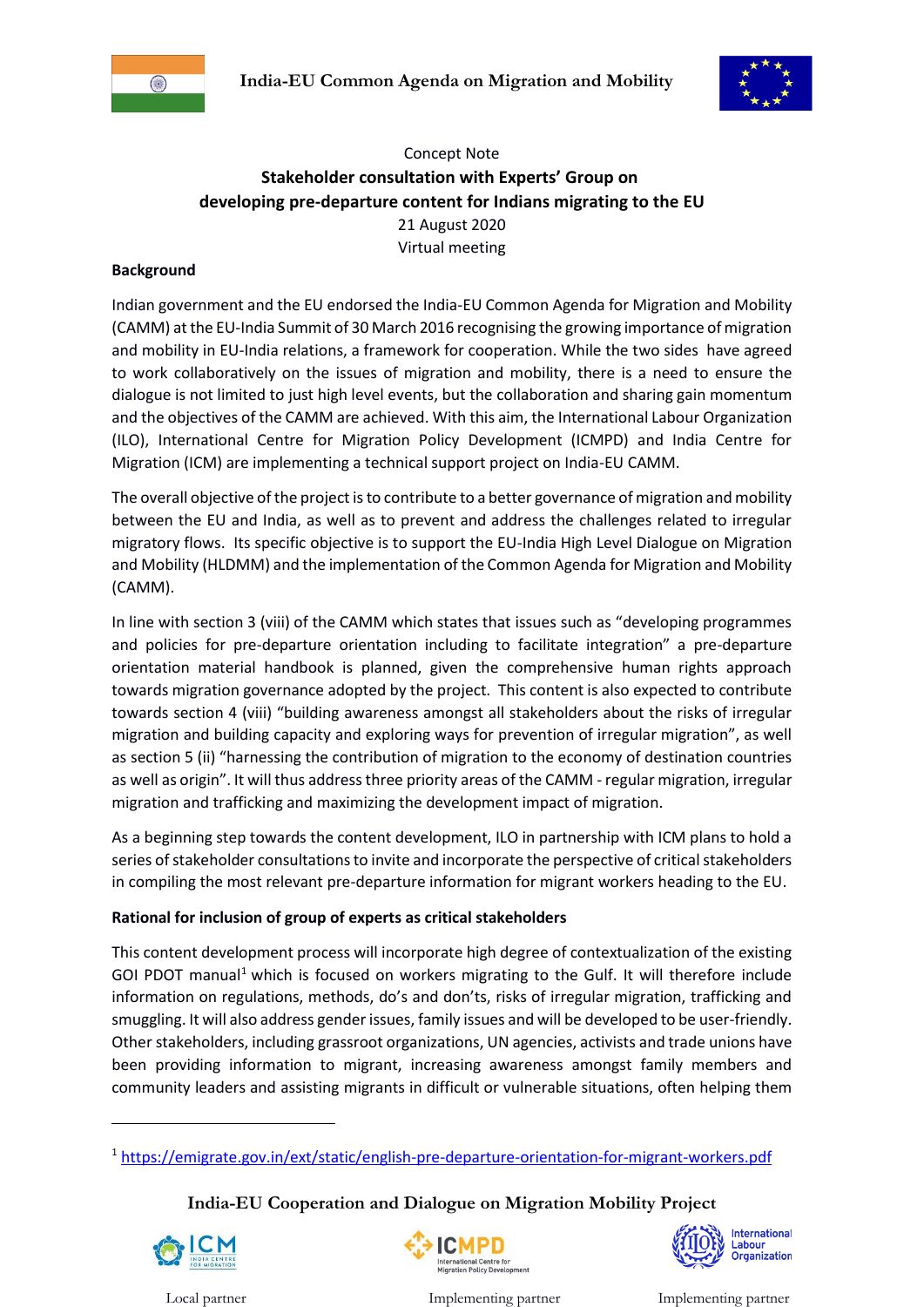



# Concept Note **Stakeholder consultation with Experts' Group on developing pre-departure content for Indians migrating to the EU** 21 August 2020 Virtual meeting

#### **Background**

Indian government and the EU endorsed the India-EU Common Agenda for Migration and Mobility (CAMM) at the EU-India Summit of 30 March 2016 recognising the growing importance of migration and mobility in EU-India relations, a framework for cooperation. While the two sides have agreed to work collaboratively on the issues of migration and mobility, there is a need to ensure the dialogue is not limited to just high level events, but the collaboration and sharing gain momentum and the objectives of the CAMM are achieved. With this aim, the International Labour Organization (ILO), International Centre for Migration Policy Development (ICMPD) and India Centre for Migration (ICM) are implementing a technical support project on India-EU CAMM.

The overall objective of the project is to contribute to a better governance of migration and mobility between the EU and India, as well as to prevent and address the challenges related to irregular migratory flows. Its specific objective is to support the EU-India High Level Dialogue on Migration and Mobility (HLDMM) and the implementation of the Common Agenda for Migration and Mobility (CAMM).

In line with section 3 (viii) of the CAMM which states that issues such as "developing programmes and policies for pre-departure orientation including to facilitate integration" a pre-departure orientation material handbook is planned, given the comprehensive human rights approach towards migration governance adopted by the project. This content is also expected to contribute towards section 4 (viii) "building awareness amongst all stakeholders about the risks of irregular migration and building capacity and exploring ways for prevention of irregular migration", as well as section 5 (ii) "harnessing the contribution of migration to the economy of destination countries as well as origin". It will thus address three priority areas of the CAMM - regular migration, irregular migration and trafficking and maximizing the development impact of migration.

As a beginning step towards the content development, ILO in partnership with ICM plans to hold a series of stakeholder consultations to invite and incorporate the perspective of critical stakeholders in compiling the most relevant pre-departure information for migrant workers heading to the EU.

#### **Rational for inclusion of group of experts as critical stakeholders**

This content development process will incorporate high degree of contextualization of the existing GOI PDOT manual<sup>1</sup> which is focused on workers migrating to the Gulf. It will therefore include information on regulations, methods, do's and don'ts, risks of irregular migration, trafficking and smuggling. It will also address gender issues, family issues and will be developed to be user-friendly. Other stakeholders, including grassroot organizations, UN agencies, activists and trade unions have been providing information to migrant, increasing awareness amongst family members and community leaders and assisting migrants in difficult or vulnerable situations, often helping them

# **India-EU Cooperation and Dialogue on Migration Mobility Project**



1



International abour Organization

Local partner Implementing partner Implementing partner

<sup>1</sup> <https://emigrate.gov.in/ext/static/english-pre-departure-orientation-for-migrant-workers.pdf>